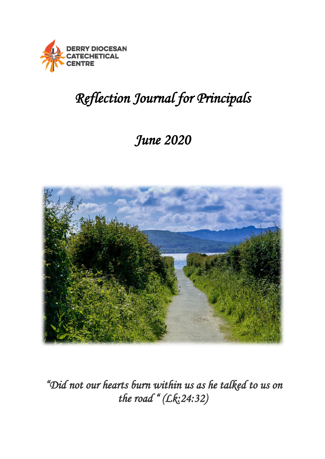

# *Reflection Journal for Principals*

## *June 2020*



 *"Did not our hearts burn within us as he talked to us on the road " (Lk:24:32)*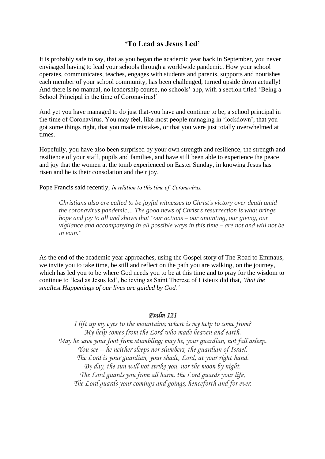### **'To Lead as Jesus Led'**

It is probably safe to say, that as you began the academic year back in September, you never envisaged having to lead your schools through a worldwide pandemic. How your school operates, communicates, teaches, engages with students and parents, supports and nourishes each member of your school community, has been challenged, turned upside down actually! And there is no manual, no leadership course, no schools' app, with a section titled-'Being a School Principal in the time of Coronavirus!'

And yet you have managed to do just that-you have and continue to be, a school principal in the time of Coronavirus. You may feel, like most people managing in 'lockdown', that you got some things right, that you made mistakes, or that you were just totally overwhelmed at times.

Hopefully, you have also been surprised by your own strength and resilience, the strength and resilience of your staff, pupils and families, and have still been able to experience the peace and joy that the women at the tomb experienced on Easter Sunday, in knowing Jesus has risen and he is their consolation and their joy.

Pope Francis said recently, *in relation to this time of Coronavirus,*

*Christians also are called to be joyful witnesses to Christ's victory over death amid the coronavirus pandemic… The good news of Christ's resurrection is what brings hope and joy to all and shows that "our actions – our anointing, our giving, our vigilance and accompanying in all possible ways in this time – are not and will not be in vain."*

As the end of the academic year approaches, using the Gospel story of The Road to Emmaus, we invite you to take time, be still and reflect on the path you are walking, on the journey, which has led you to be where God needs you to be at this time and to pray for the wisdom to continue to 'lead as Jesus led', believing as Saint Therese of Lisieux did that, *'that the smallest Happenings of our lives are guided by God.'*

#### *Psalm 121*

*I lift up my eyes to the mountains; where is my help to come from? My help comes from the Lord who made heaven and earth. May he save your foot from stumbling; may he, your guardian, not fall asleep. You see -- he neither sleeps nor slumbers, the guardian of Israel. The Lord is your guardian, your shade, Lord, at your right hand. By day, the sun will not strike you, nor the moon by night. The Lord guards you from all harm, the Lord guards your life, The Lord guards your comings and goings, henceforth and for ever.*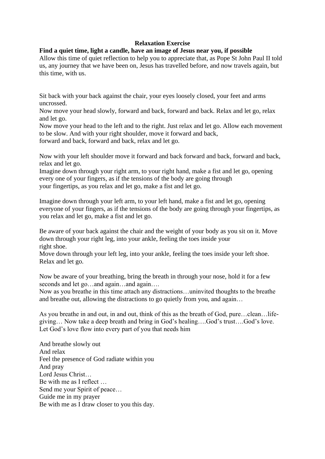#### **Relaxation Exercise**

#### **Find a quiet time, light a candle, have an image of Jesus near you, if possible**

Allow this time of quiet reflection to help you to appreciate that, as Pope St John Paul II told us, any journey that we have been on, Jesus has travelled before, and now travels again, but this time, with us.

Sit back with your back against the chair, your eyes loosely closed, your feet and arms uncrossed.

Now move your head slowly, forward and back, forward and back. Relax and let go, relax and let go.

Now move your head to the left and to the right. Just relax and let go. Allow each movement to be slow. And with your right shoulder, move it forward and back, forward and back, forward and back, relax and let go.

Now with your left shoulder move it forward and back forward and back, forward and back, relax and let go.

Imagine down through your right arm, to your right hand, make a fist and let go, opening every one of your fingers, as if the tensions of the body are going through your fingertips, as you relax and let go, make a fist and let go.

Imagine down through your left arm, to your left hand, make a fist and let go, opening everyone of your fingers, as if the tensions of the body are going through your fingertips, as you relax and let go, make a fist and let go.

Be aware of your back against the chair and the weight of your body as you sit on it. Move down through your right leg, into your ankle, feeling the toes inside your right shoe.

Move down through your left leg, into your ankle, feeling the toes inside your left shoe. Relax and let go.

Now be aware of your breathing, bring the breath in through your nose, hold it for a few seconds and let go…and again…and again….

Now as you breathe in this time attach any distractions…uninvited thoughts to the breathe and breathe out, allowing the distractions to go quietly from you, and again…

As you breathe in and out, in and out, think of this as the breath of God, pure…clean…lifegiving… Now take a deep breath and bring in God's healing….God's trust….God's love. Let God's love flow into every part of you that needs him

And breathe slowly out And relax Feel the presence of God radiate within you And pray Lord Jesus Christ… Be with me as I reflect Send me your Spirit of peace… Guide me in my prayer Be with me as I draw closer to you this day.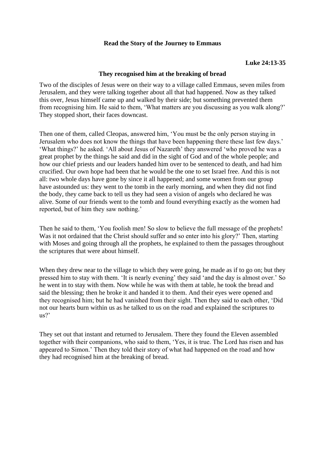#### **Read the Story of the Journey to Emmaus**

#### **Luke 24:13-35**

#### **They recognised him at the breaking of bread**

Two of the disciples of Jesus were on their way to a village called Emmaus, seven miles from Jerusalem, and they were talking together about all that had happened. Now as they talked this over, Jesus himself came up and walked by their side; but something prevented them from recognising him. He said to them, 'What matters are you discussing as you walk along?' They stopped short, their faces downcast.

Then one of them, called Cleopas, answered him, 'You must be the only person staying in Jerusalem who does not know the things that have been happening there these last few days.' 'What things?' he asked. 'All about Jesus of Nazareth' they answered 'who proved he was a great prophet by the things he said and did in the sight of God and of the whole people; and how our chief priests and our leaders handed him over to be sentenced to death, and had him crucified. Our own hope had been that he would be the one to set Israel free. And this is not all: two whole days have gone by since it all happened; and some women from our group have astounded us: they went to the tomb in the early morning, and when they did not find the body, they came back to tell us they had seen a vision of angels who declared he was alive. Some of our friends went to the tomb and found everything exactly as the women had reported, but of him they saw nothing.'

Then he said to them, 'You foolish men! So slow to believe the full message of the prophets! Was it not ordained that the Christ should suffer and so enter into his glory?' Then, starting with Moses and going through all the prophets, he explained to them the passages throughout the scriptures that were about himself.

When they drew near to the village to which they were going, he made as if to go on; but they pressed him to stay with them. 'It is nearly evening' they said 'and the day is almost over.' So he went in to stay with them. Now while he was with them at table, he took the bread and said the blessing; then he broke it and handed it to them. And their eyes were opened and they recognised him; but he had vanished from their sight. Then they said to each other, 'Did not our hearts burn within us as he talked to us on the road and explained the scriptures to us?'

They set out that instant and returned to Jerusalem. There they found the Eleven assembled together with their companions, who said to them, 'Yes, it is true. The Lord has risen and has appeared to Simon.' Then they told their story of what had happened on the road and how they had recognised him at the breaking of bread.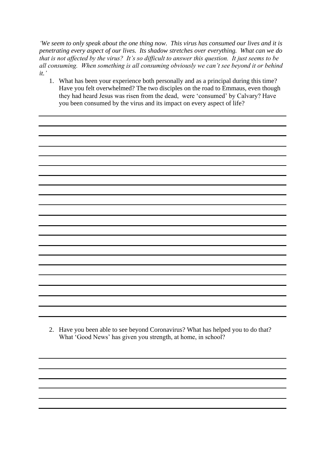*'We seem to only speak about the one thing now. This virus has consumed our lives and it is penetrating every aspect of our lives. Its shadow stretches over everything. What can we do that is not affected by the virus? It's so difficult to answer this question. It just seems to be all consuming. When something is all consuming obviously we can't see beyond it or behind it.'* 

1. What has been your experience both personally and as a principal during this time? Have you felt overwhelmed? The two disciples on the road to Emmaus, even though they had heard Jesus was risen from the dead, were 'consumed' by Calvary? Have you been consumed by the virus and its impact on every aspect of life?

2. Have you been able to see beyond Coronavirus? What has helped you to do that? What 'Good News' has given you strength, at home, in school?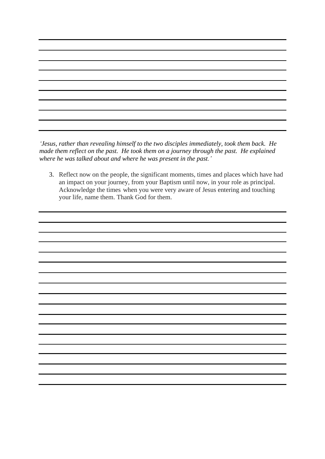*'Jesus, rather than revealing himself to the two disciples immediately, took them back. He made them reflect on the past. He took them on a journey through the past. He explained where he was talked about and where he was present in the past.'*

3. Reflect now on the people, the significant moments, times and places which have had an impact on your journey, from your Baptism until now, in your role as principal. Acknowledge the times when you were very aware of Jesus entering and touching your life, name them. Thank God for them.

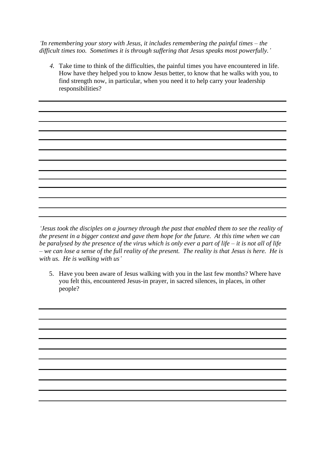*'In remembering your story with Jesus, it includes remembering the painful times – the difficult times too. Sometimes it is through suffering that Jesus speaks most powerfully.'* 

*4.* Take time to think of the difficulties, the painful times you have encountered in life. How have they helped you to know Jesus better, to know that he walks with you, to find strength now, in particular, when you need it to help carry your leadership responsibilities?

*'Jesus took the disciples on a journey through the past that enabled them to see the reality of the present in a bigger context and gave them hope for the future. At this time when we can be paralysed by the presence of the virus which is only ever a part of life – it is not all of life – we can lose a sense of the full reality of the present. The reality is that Jesus is here. He is with us. He is walking with us'*

5. Have you been aware of Jesus walking with you in the last few months? Where have you felt this, encountered Jesus-in prayer, in sacred silences, in places, in other people?